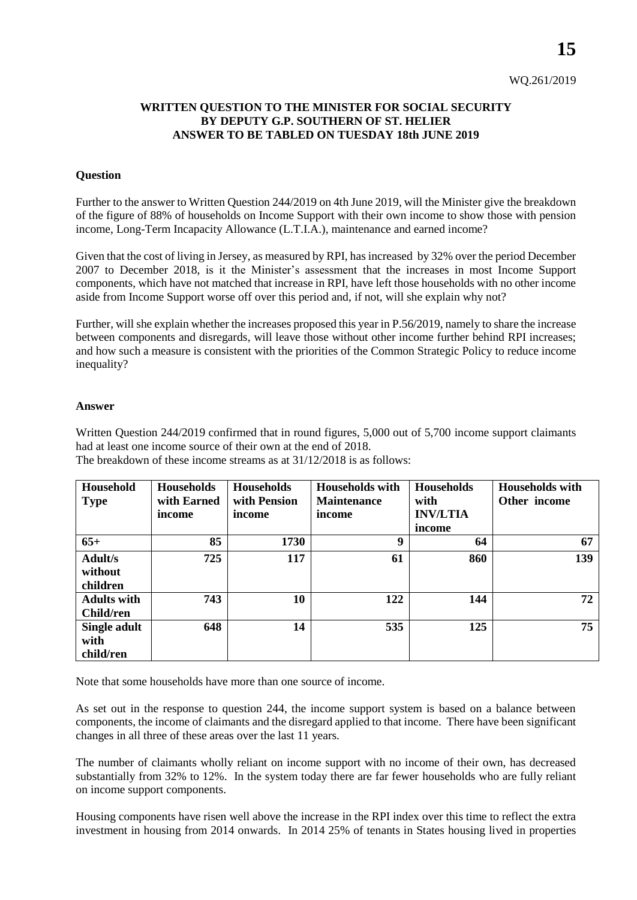**15**

## **WRITTEN QUESTION TO THE MINISTER FOR SOCIAL SECURITY BY DEPUTY G.P. SOUTHERN OF ST. HELIER ANSWER TO BE TABLED ON TUESDAY 18th JUNE 2019**

## **Question**

Further to the answer to Written Question 244/2019 on 4th June 2019, will the Minister give the breakdown of the figure of 88% of households on Income Support with their own income to show those with pension income, Long-Term Incapacity Allowance (L.T.I.A.), maintenance and earned income?

Given that the cost of living in Jersey, as measured by RPI, has increased by 32% over the period December 2007 to December 2018, is it the Minister's assessment that the increases in most Income Support components, which have not matched that increase in RPI, have left those households with no other income aside from Income Support worse off over this period and, if not, will she explain why not?

Further, will she explain whether the increases proposed this year in P.56/2019, namely to share the increase between components and disregards, will leave those without other income further behind RPI increases; and how such a measure is consistent with the priorities of the Common Strategic Policy to reduce income inequality?

## **Answer**

Written Question 244/2019 confirmed that in round figures, 5,000 out of 5,700 income support claimants had at least one income source of their own at the end of 2018. The breakdown of these income streams as at 31/12/2018 is as follows:

| Household<br><b>Type</b>          | <b>Households</b><br>with Earned<br>income | <b>Households</b><br>with Pension<br>income | <b>Households with</b><br><b>Maintenance</b><br>income | <b>Households</b><br>with<br><b>INV/LTIA</b><br>income | <b>Households with</b><br>Other income |
|-----------------------------------|--------------------------------------------|---------------------------------------------|--------------------------------------------------------|--------------------------------------------------------|----------------------------------------|
| $65+$                             | 85                                         | 1730                                        | 9                                                      | 64                                                     | 67                                     |
| Adult/s<br>without<br>children    | 725                                        | 117                                         | 61                                                     | 860                                                    | 139                                    |
| <b>Adults with</b><br>Child/ren   | 743                                        | 10                                          | 122                                                    | 144                                                    | 72                                     |
| Single adult<br>with<br>child/ren | 648                                        | 14                                          | 535                                                    | 125                                                    | 75                                     |

Note that some households have more than one source of income.

As set out in the response to question 244, the income support system is based on a balance between components, the income of claimants and the disregard applied to that income. There have been significant changes in all three of these areas over the last 11 years.

The number of claimants wholly reliant on income support with no income of their own, has decreased substantially from 32% to 12%. In the system today there are far fewer households who are fully reliant on income support components.

Housing components have risen well above the increase in the RPI index over this time to reflect the extra investment in housing from 2014 onwards. In 2014 25% of tenants in States housing lived in properties